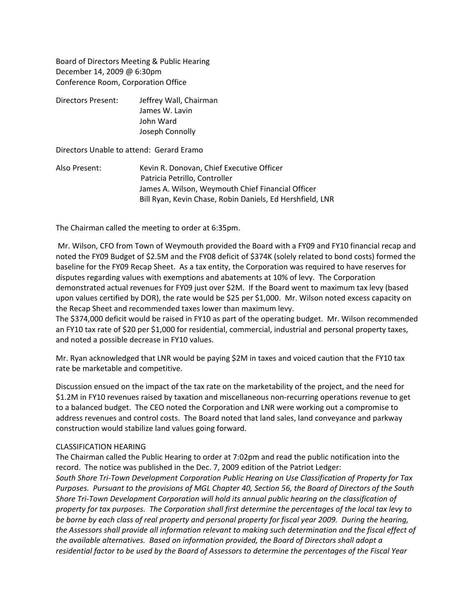Board of Directors Meeting & Public Hearing December 14, 2009 @ 6:30pm Conference Room, Corporation Office

Directors Present: Jeffrey Wall, Chairman James W. Lavin John Ward Joseph Connolly

Directors Unable to attend: Gerard Eramo

Also Present: Kevin R. Donovan, Chief Executive Officer Patricia Petrillo, Controller James A. Wilson, Weymouth Chief Financial Officer Bill Ryan, Kevin Chase, Robin Daniels, Ed Hershfield, LNR

The Chairman called the meeting to order at 6:35pm.

Mr. Wilson, CFO from Town of Weymouth provided the Board with a FY09 and FY10 financial recap and noted the FY09 Budget of \$2.5M and the FY08 deficit of \$374K (solely related to bond costs) formed the baseline for the FY09 Recap Sheet. As a tax entity, the Corporation was required to have reserves for disputes regarding values with exemptions and abatements at 10% of levy. The Corporation demonstrated actual revenues for FY09 just over \$2M. If the Board went to maximum tax levy (based upon values certified by DOR), the rate would be \$25 per \$1,000. Mr. Wilson noted excess capacity on the Recap Sheet and recommended taxes lower than maximum levy.

The \$374,000 deficit would be raised in FY10 as part of the operating budget. Mr. Wilson recommended an FY10 tax rate of \$20 per \$1,000 for residential, commercial, industrial and personal property taxes, and noted a possible decrease in FY10 values.

Mr. Ryan acknowledged that LNR would be paying \$2M in taxes and voiced caution that the FY10 tax rate be marketable and competitive.

Discussion ensued on the impact of the tax rate on the marketability of the project, and the need for \$1.2M in FY10 revenues raised by taxation and miscellaneous non-recurring operations revenue to get to a balanced budget. The CEO noted the Corporation and LNR were working out a compromise to address revenues and control costs. The Board noted that land sales, land conveyance and parkway construction would stabilize land values going forward.

## CLASSIFICATION HEARING

The Chairman called the Public Hearing to order at 7:02pm and read the public notification into the record. The notice was published in the Dec. 7, 2009 edition of the Patriot Ledger: *South Shore Tri‐Town Development Corporation Public Hearing on Use Classification of Property for Tax* Purposes. Pursuant to the provisions of MGL Chapter 40, Section 56, the Board of Directors of the South *Shore Tri‐Town Development Corporation will hold its annual public hearing on the classification of* property for tax purposes. The Corporation shall first determine the percentages of the local tax levy to be borne by each class of real property and personal property for fiscal year 2009. During the hearing, *the Assessors shall provide all information relevant to making such determination and the fiscal effect of the available alternatives. Based on information provided, the Board of Directors shall adopt a* residential factor to be used by the Board of Assessors to determine the percentages of the Fiscal Year